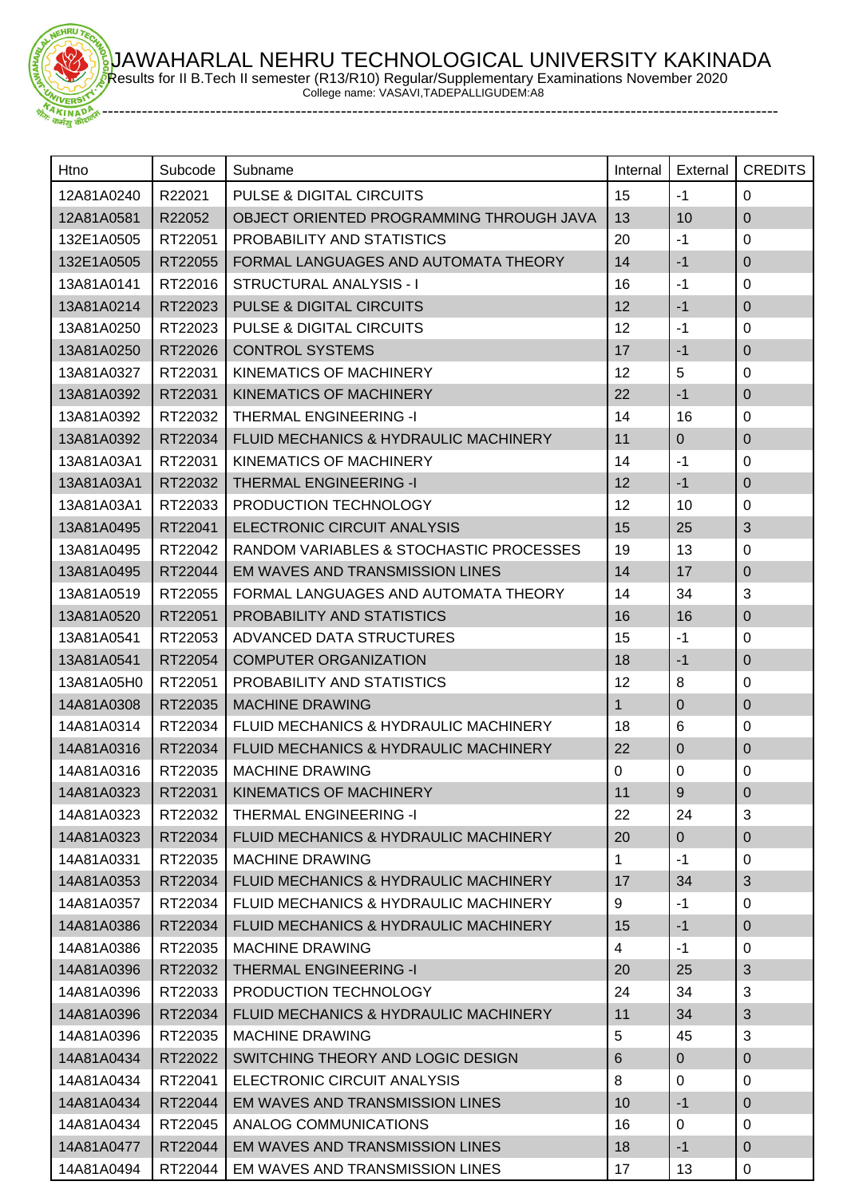JAWAHARLAL NEHRU TECHNOLOGICAL UNIVERSITY KAKINADA Results for II B.Tech II semester (R13/R10) Regular/Supplementary Examinations November 2020

College name: VASAVI,TADEPALLIGUDEM:A8

-----------------------------------------------------------------------------------------------------------------------

HRU

| Htno                 | Subcode | Subname                                  | Internal     | External       | <b>CREDITS</b>   |
|----------------------|---------|------------------------------------------|--------------|----------------|------------------|
| 12A81A0240           | R22021  | <b>PULSE &amp; DIGITAL CIRCUITS</b>      | 15           | $-1$           | $\mathbf 0$      |
| 12A81A0581           | R22052  | OBJECT ORIENTED PROGRAMMING THROUGH JAVA | 13           | 10             | $\mathbf 0$      |
| 132E1A0505           | RT22051 | PROBABILITY AND STATISTICS               | 20           | $-1$           | 0                |
| 132E1A0505           | RT22055 | FORMAL LANGUAGES AND AUTOMATA THEORY     | 14           | $-1$           | $\boldsymbol{0}$ |
| 13A81A0141           | RT22016 | STRUCTURAL ANALYSIS - I                  | 16           | $-1$           | 0                |
| 13A81A0214           | RT22023 | <b>PULSE &amp; DIGITAL CIRCUITS</b>      | 12           | $-1$           | $\mathbf 0$      |
| 13A81A0250           | RT22023 | PULSE & DIGITAL CIRCUITS                 | 12           | $-1$           | $\pmb{0}$        |
| 13A81A0250           | RT22026 | <b>CONTROL SYSTEMS</b>                   | 17           | $-1$           | $\mathbf 0$      |
| 13A81A0327           | RT22031 | KINEMATICS OF MACHINERY                  | 12           | 5              | $\pmb{0}$        |
| 13A81A0392           | RT22031 | <b>KINEMATICS OF MACHINERY</b>           | 22           | $-1$           | $\mathbf 0$      |
| 13A81A0392           | RT22032 | <b>THERMAL ENGINEERING -I</b>            | 14           | 16             | 0                |
| 13A81A0392           | RT22034 | FLUID MECHANICS & HYDRAULIC MACHINERY    | 11           | $\mathbf 0$    | $\mathbf 0$      |
| 13A81A03A1           | RT22031 | KINEMATICS OF MACHINERY                  | 14           | $-1$           | 0                |
| 13A81A03A1           | RT22032 | <b>THERMAL ENGINEERING -I</b>            | 12           | $-1$           | $\mathbf 0$      |
| 13A81A03A1           | RT22033 | PRODUCTION TECHNOLOGY                    | 12           | 10             | 0                |
| 13A81A0495           | RT22041 | ELECTRONIC CIRCUIT ANALYSIS              | 15           | 25             | 3                |
| 13A81A0495           | RT22042 | RANDOM VARIABLES & STOCHASTIC PROCESSES  | 19           | 13             | $\mathbf 0$      |
| 13A81A0495           | RT22044 | EM WAVES AND TRANSMISSION LINES          | 14           | 17             | $\mathbf 0$      |
| 13A81A0519           | RT22055 | FORMAL LANGUAGES AND AUTOMATA THEORY     | 14           | 34             | $\sqrt{3}$       |
| 13A81A0520           | RT22051 | PROBABILITY AND STATISTICS               | 16           | 16             | $\pmb{0}$        |
| 13A81A0541           | RT22053 | ADVANCED DATA STRUCTURES                 | 15           | $-1$           | 0                |
| 13A81A0541           | RT22054 | <b>COMPUTER ORGANIZATION</b>             | 18           | $-1$           | $\overline{0}$   |
| 13A81A05H0           | RT22051 | PROBABILITY AND STATISTICS               | 12           | 8              | 0                |
| 14A81A0308           | RT22035 | <b>MACHINE DRAWING</b>                   | $\mathbf{1}$ | $\mathbf 0$    | $\overline{0}$   |
| 14A81A0314           | RT22034 | FLUID MECHANICS & HYDRAULIC MACHINERY    | 18           | 6              | 0                |
| 14A81A0316           | RT22034 | FLUID MECHANICS & HYDRAULIC MACHINERY    | 22           | $\Omega$       | $\boldsymbol{0}$ |
| 14A81A0316           | RT22035 | <b>MACHINE DRAWING</b>                   | 0            | 0              | $\mathbf 0$      |
| 14A81A0323   RT22031 |         | KINEMATICS OF MACHINERY                  | 11           | $9$            | $\mathbf 0$      |
| 14A81A0323           | RT22032 | <b>THERMAL ENGINEERING -I</b>            | 22           | 24             | 3                |
| 14A81A0323           | RT22034 | FLUID MECHANICS & HYDRAULIC MACHINERY    | 20           | $\mathbf{0}$   | $\pmb{0}$        |
| 14A81A0331           | RT22035 | <b>MACHINE DRAWING</b>                   | 1            | $-1$           | 0                |
| 14A81A0353           | RT22034 | FLUID MECHANICS & HYDRAULIC MACHINERY    | 17           | 34             | $\mathfrak{S}$   |
| 14A81A0357           | RT22034 | FLUID MECHANICS & HYDRAULIC MACHINERY    | 9            | $-1$           | 0                |
| 14A81A0386           | RT22034 | FLUID MECHANICS & HYDRAULIC MACHINERY    | 15           | $-1$           | $\mathbf 0$      |
| 14A81A0386           | RT22035 | <b>MACHINE DRAWING</b>                   | 4            | $-1$           | 0                |
| 14A81A0396           | RT22032 | <b>THERMAL ENGINEERING -I</b>            | 20           | 25             | $\mathfrak{S}$   |
| 14A81A0396           | RT22033 | PRODUCTION TECHNOLOGY                    | 24           | 34             | 3                |
| 14A81A0396           | RT22034 | FLUID MECHANICS & HYDRAULIC MACHINERY    | 11           | 34             | $\sqrt{3}$       |
| 14A81A0396           | RT22035 | <b>MACHINE DRAWING</b>                   | 5            | 45             | $\mathbf{3}$     |
| 14A81A0434           | RT22022 | SWITCHING THEORY AND LOGIC DESIGN        | 6            | $\overline{0}$ | $\mathbf 0$      |
| 14A81A0434           | RT22041 | ELECTRONIC CIRCUIT ANALYSIS              | 8            | 0              | 0                |
| 14A81A0434           | RT22044 | EM WAVES AND TRANSMISSION LINES          | 10           | $-1$           | $\overline{0}$   |
| 14A81A0434           | RT22045 | ANALOG COMMUNICATIONS                    | 16           | $\Omega$       | $\mathbf 0$      |
| 14A81A0477           | RT22044 | EM WAVES AND TRANSMISSION LINES          | 18           | $-1$           | $\mathbf 0$      |
| 14A81A0494           | RT22044 | EM WAVES AND TRANSMISSION LINES          | 17           | 13             | $\mathbf 0$      |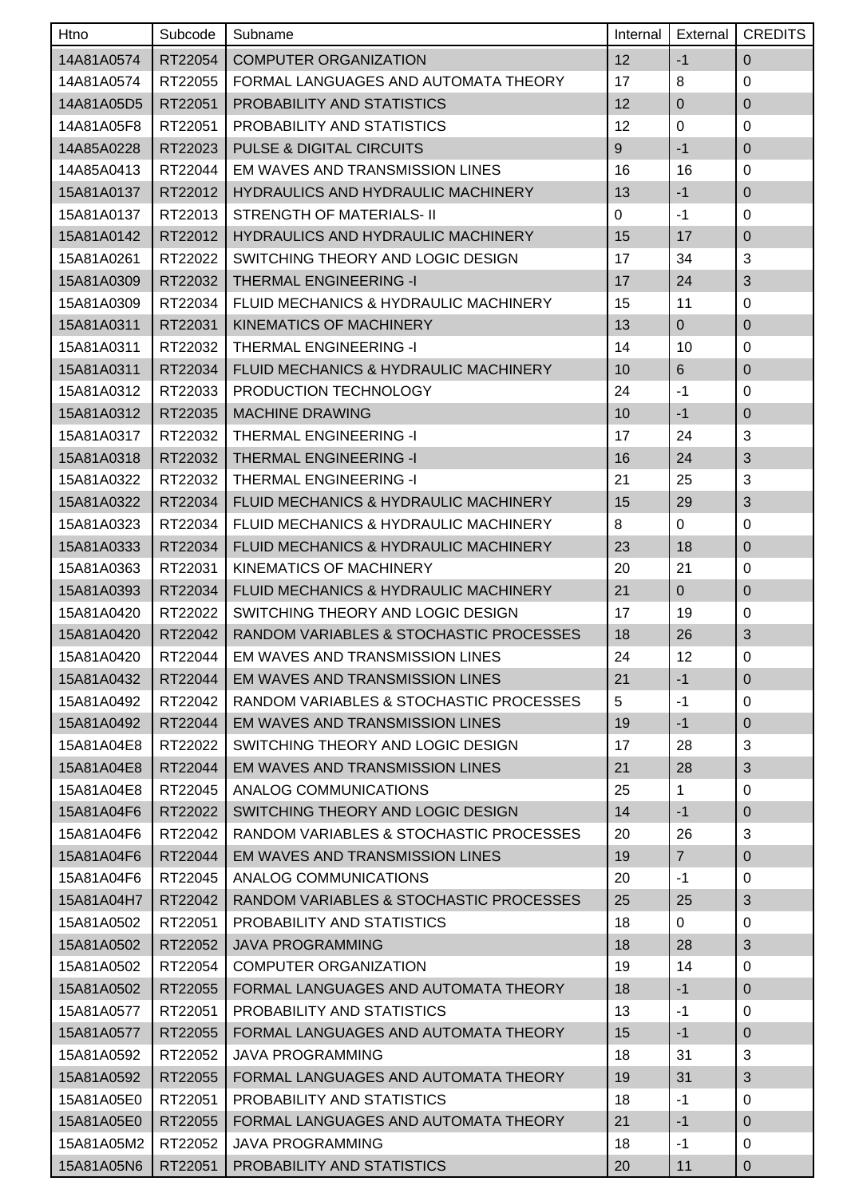| Htno       | Subcode | Subname                                 | Internal    | External       | <b>CREDITS</b>   |
|------------|---------|-----------------------------------------|-------------|----------------|------------------|
| 14A81A0574 | RT22054 | <b>COMPUTER ORGANIZATION</b>            | 12          | $-1$           | $\pmb{0}$        |
| 14A81A0574 | RT22055 | FORMAL LANGUAGES AND AUTOMATA THEORY    | 17          | 8              | 0                |
| 14A81A05D5 | RT22051 | PROBABILITY AND STATISTICS              | 12          | 0              | $\pmb{0}$        |
| 14A81A05F8 | RT22051 | PROBABILITY AND STATISTICS              | 12          | $\mathbf 0$    | 0                |
| 14A85A0228 | RT22023 | <b>PULSE &amp; DIGITAL CIRCUITS</b>     | 9           | $-1$           | $\mathbf 0$      |
| 14A85A0413 | RT22044 | EM WAVES AND TRANSMISSION LINES         | 16          | 16             | 0                |
| 15A81A0137 | RT22012 | HYDRAULICS AND HYDRAULIC MACHINERY      | 13          | $-1$           | $\pmb{0}$        |
| 15A81A0137 | RT22013 | STRENGTH OF MATERIALS- II               | $\mathbf 0$ | $-1$           | 0                |
| 15A81A0142 | RT22012 | HYDRAULICS AND HYDRAULIC MACHINERY      | 15          | 17             | $\mathbf 0$      |
| 15A81A0261 | RT22022 | SWITCHING THEORY AND LOGIC DESIGN       | 17          | 34             | 3                |
| 15A81A0309 | RT22032 | <b>THERMAL ENGINEERING -I</b>           | 17          | 24             | 3                |
| 15A81A0309 | RT22034 | FLUID MECHANICS & HYDRAULIC MACHINERY   | 15          | 11             | 0                |
| 15A81A0311 | RT22031 | <b>KINEMATICS OF MACHINERY</b>          | 13          | $\overline{0}$ | $\pmb{0}$        |
| 15A81A0311 | RT22032 | <b>THERMAL ENGINEERING -I</b>           | 14          | 10             | 0                |
| 15A81A0311 | RT22034 | FLUID MECHANICS & HYDRAULIC MACHINERY   | 10          | 6              | $\mathbf 0$      |
| 15A81A0312 | RT22033 | PRODUCTION TECHNOLOGY                   | 24          | $-1$           | 0                |
| 15A81A0312 | RT22035 | <b>MACHINE DRAWING</b>                  | 10          | $-1$           | $\mathbf 0$      |
| 15A81A0317 | RT22032 | <b>THERMAL ENGINEERING -I</b>           | 17          | 24             | 3                |
| 15A81A0318 | RT22032 | <b>THERMAL ENGINEERING -I</b>           | 16          | 24             | $\sqrt{3}$       |
| 15A81A0322 | RT22032 | <b>THERMAL ENGINEERING -I</b>           | 21          | 25             | 3                |
| 15A81A0322 | RT22034 | FLUID MECHANICS & HYDRAULIC MACHINERY   | 15          | 29             | 3                |
| 15A81A0323 | RT22034 | FLUID MECHANICS & HYDRAULIC MACHINERY   | 8           | 0              | 0                |
| 15A81A0333 | RT22034 | FLUID MECHANICS & HYDRAULIC MACHINERY   | 23          | 18             | $\pmb{0}$        |
| 15A81A0363 | RT22031 | KINEMATICS OF MACHINERY                 | 20          | 21             | 0                |
| 15A81A0393 | RT22034 | FLUID MECHANICS & HYDRAULIC MACHINERY   | 21          | $\mathbf 0$    | $\mathbf 0$      |
| 15A81A0420 | RT22022 | SWITCHING THEORY AND LOGIC DESIGN       | 17          | 19             | $\mathbf 0$      |
| 15A81A0420 | RT22042 | RANDOM VARIABLES & STOCHASTIC PROCESSES | 18          | 26             | 3                |
| 15A81A0420 | RT22044 | EM WAVES AND TRANSMISSION LINES         | 24          | 12             | $\pmb{0}$        |
| 15A81A0432 | RT22044 | EM WAVES AND TRANSMISSION LINES         | 21          | $-1$           | $\pmb{0}$        |
| 15A81A0492 | RT22042 | RANDOM VARIABLES & STOCHASTIC PROCESSES | 5           | $-1$           | 0                |
| 15A81A0492 | RT22044 | EM WAVES AND TRANSMISSION LINES         | 19          | $-1$           | $\boldsymbol{0}$ |
| 15A81A04E8 | RT22022 | SWITCHING THEORY AND LOGIC DESIGN       | 17          | 28             | 3                |
| 15A81A04E8 | RT22044 | EM WAVES AND TRANSMISSION LINES         | 21          | 28             | $\sqrt{3}$       |
| 15A81A04E8 | RT22045 | ANALOG COMMUNICATIONS                   | 25          | 1              | 0                |
| 15A81A04F6 | RT22022 | SWITCHING THEORY AND LOGIC DESIGN       | 14          | $-1$           | $\pmb{0}$        |
| 15A81A04F6 | RT22042 | RANDOM VARIABLES & STOCHASTIC PROCESSES | 20          | 26             | 3                |
| 15A81A04F6 | RT22044 | EM WAVES AND TRANSMISSION LINES         | 19          | $\overline{7}$ | $\mathbf 0$      |
| 15A81A04F6 | RT22045 | ANALOG COMMUNICATIONS                   | 20          | $-1$           | 0                |
| 15A81A04H7 | RT22042 | RANDOM VARIABLES & STOCHASTIC PROCESSES | 25          | 25             | $\sqrt{3}$       |
| 15A81A0502 | RT22051 | PROBABILITY AND STATISTICS              | 18          | 0              | 0                |
| 15A81A0502 | RT22052 | <b>JAVA PROGRAMMING</b>                 | 18          | 28             | $\sqrt{3}$       |
| 15A81A0502 | RT22054 | <b>COMPUTER ORGANIZATION</b>            | 19          | 14             | $\mathbf 0$      |
| 15A81A0502 | RT22055 | FORMAL LANGUAGES AND AUTOMATA THEORY    | 18          | $-1$           | $\pmb{0}$        |
| 15A81A0577 | RT22051 | PROBABILITY AND STATISTICS              | 13          | $-1$           | 0                |
| 15A81A0577 | RT22055 | FORMAL LANGUAGES AND AUTOMATA THEORY    | 15          | $-1$           | $\pmb{0}$        |
| 15A81A0592 | RT22052 | <b>JAVA PROGRAMMING</b>                 | 18          | 31             | 3                |
| 15A81A0592 | RT22055 | FORMAL LANGUAGES AND AUTOMATA THEORY    | 19          | 31             | $\mathfrak{B}$   |
| 15A81A05E0 | RT22051 | PROBABILITY AND STATISTICS              | 18          | $-1$           | 0                |
| 15A81A05E0 | RT22055 | FORMAL LANGUAGES AND AUTOMATA THEORY    | 21          | $-1$           | $\mathbf 0$      |
| 15A81A05M2 | RT22052 | <b>JAVA PROGRAMMING</b>                 | 18          | $-1$           | 0                |
| 15A81A05N6 | RT22051 | PROBABILITY AND STATISTICS              | 20          | 11             | $\boldsymbol{0}$ |